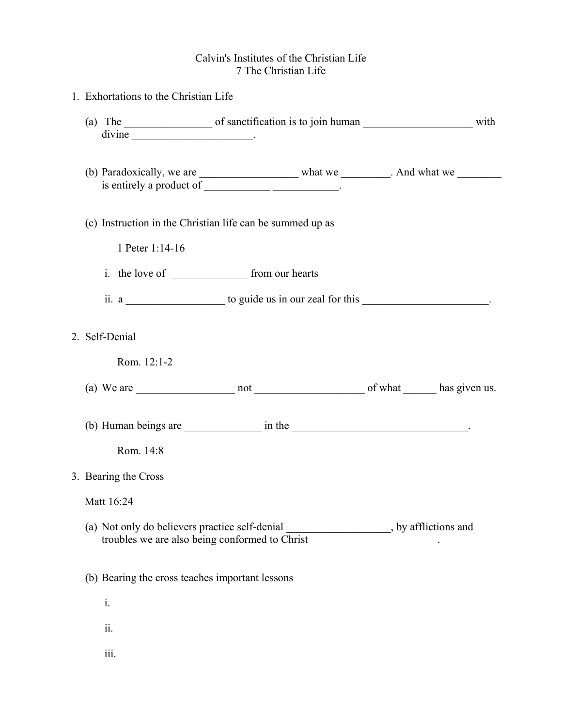## Calvin's Institutes of the Christian Life 7 The Christian Life

|  | 1. Exhortations to the Christian Life                                                                                                                         |                 |                                                                                                   |  |
|--|---------------------------------------------------------------------------------------------------------------------------------------------------------------|-----------------|---------------------------------------------------------------------------------------------------|--|
|  |                                                                                                                                                               |                 |                                                                                                   |  |
|  |                                                                                                                                                               |                 | is entirely a product of ________________________________.                                        |  |
|  | (c) Instruction in the Christian life can be summed up as                                                                                                     |                 |                                                                                                   |  |
|  |                                                                                                                                                               | 1 Peter 1:14-16 |                                                                                                   |  |
|  |                                                                                                                                                               |                 |                                                                                                   |  |
|  |                                                                                                                                                               |                 | ii. a ______________________ to guide us in our zeal for this _______________________.            |  |
|  | 2. Self-Denial                                                                                                                                                |                 |                                                                                                   |  |
|  |                                                                                                                                                               | Rom. 12:1-2     |                                                                                                   |  |
|  |                                                                                                                                                               |                 |                                                                                                   |  |
|  |                                                                                                                                                               |                 | (b) Human beings are $\frac{1}{\sqrt{1-\frac{1}{2}}}\$ in the $\frac{1}{\sqrt{1-\frac{1}{2}}}\$ . |  |
|  |                                                                                                                                                               | Rom. 14:8       |                                                                                                   |  |
|  | 3. Bearing the Cross                                                                                                                                          |                 |                                                                                                   |  |
|  | Matt 16:24                                                                                                                                                    |                 |                                                                                                   |  |
|  | (a) Not only do believers practice self-denial ________________, by afflictions and<br>troubles we are also being conformed to Christ ______________________. |                 |                                                                                                   |  |
|  | (b) Bearing the cross teaches important lessons                                                                                                               |                 |                                                                                                   |  |
|  | i.                                                                                                                                                            |                 |                                                                                                   |  |
|  | ii.                                                                                                                                                           |                 |                                                                                                   |  |
|  | iii.                                                                                                                                                          |                 |                                                                                                   |  |